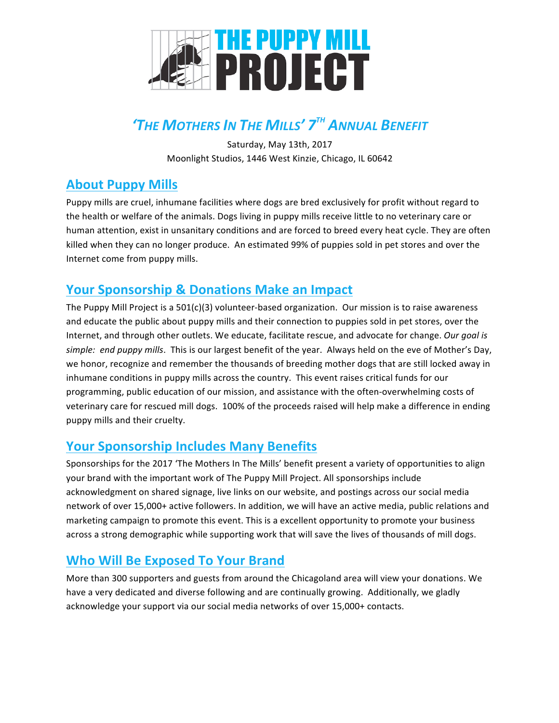

# *'THE MOTHERS IN THE MILLS' 7TH ANNUAL BENEFIT*

Saturday, May 13th, 2017 Moonlight Studios, 1446 West Kinzie, Chicago, IL 60642

# **About Puppy Mills**

Puppy mills are cruel, inhumane facilities where dogs are bred exclusively for profit without regard to the health or welfare of the animals. Dogs living in puppy mills receive little to no veterinary care or human attention, exist in unsanitary conditions and are forced to breed every heat cycle. They are often killed when they can no longer produce. An estimated 99% of puppies sold in pet stores and over the Internet come from puppy mills.

## **Your Sponsorship & Donations Make an Impact**

The Puppy Mill Project is a  $501(c)(3)$  volunteer-based organization. Our mission is to raise awareness and educate the public about puppy mills and their connection to puppies sold in pet stores, over the Internet, and through other outlets. We educate, facilitate rescue, and advocate for change. Our goal is simple: end puppy mills. This is our largest benefit of the year. Always held on the eve of Mother's Day, we honor, recognize and remember the thousands of breeding mother dogs that are still locked away in inhumane conditions in puppy mills across the country. This event raises critical funds for our programming, public education of our mission, and assistance with the often-overwhelming costs of veterinary care for rescued mill dogs. 100% of the proceeds raised will help make a difference in ending puppy mills and their cruelty.

# **Your Sponsorship Includes Many Benefits**

Sponsorships for the 2017 'The Mothers In The Mills' benefit present a variety of opportunities to align your brand with the important work of The Puppy Mill Project. All sponsorships include acknowledgment on shared signage, live links on our website, and postings across our social media network of over 15,000+ active followers. In addition, we will have an active media, public relations and marketing campaign to promote this event. This is a excellent opportunity to promote your business across a strong demographic while supporting work that will save the lives of thousands of mill dogs.

## **Who Will Be Exposed To Your Brand**

More than 300 supporters and guests from around the Chicagoland area will view your donations. We have a very dedicated and diverse following and are continually growing. Additionally, we gladly acknowledge your support via our social media networks of over 15,000+ contacts.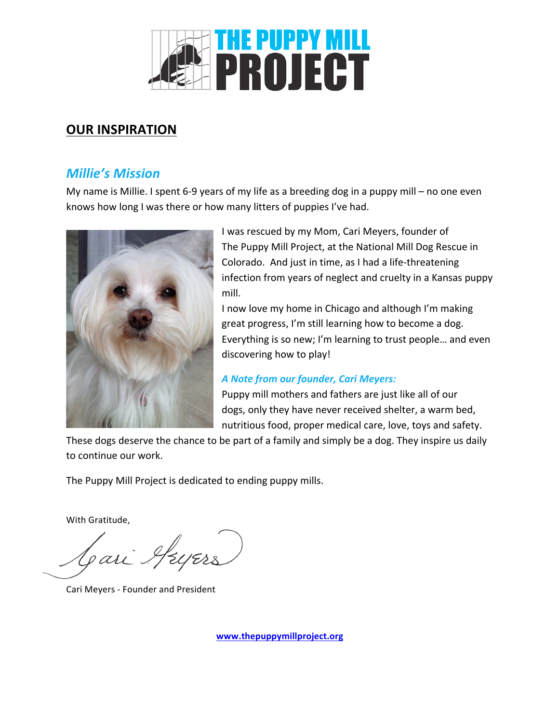

## **OUR INSPIRATION**

## *Millie's Mission*

My name is Millie. I spent 6-9 years of my life as a breeding dog in a puppy mill – no one even knows how long I was there or how many litters of puppies I've had.



I was rescued by my Mom, Cari Meyers, founder of The Puppy Mill Project, at the National Mill Dog Rescue in Colorado. And just in time, as I had a life-threatening infection from years of neglect and cruelty in a Kansas puppy mill.

I now love my home in Chicago and although I'm making great progress, I'm still learning how to become a dog. Everything is so new; I'm learning to trust people... and even discovering how to play!

#### *A Note from our founder, Cari Meyers:*

Puppy mill mothers and fathers are just like all of our dogs, only they have never received shelter, a warm bed, nutritious food, proper medical care, love, toys and safety.

These dogs deserve the chance to be part of a family and simply be a dog. They inspire us daily to continue our work.

The Puppy Mill Project is dedicated to ending puppy mills.

With Gratitude.

Jari AzyErs

Cari Meyers - Founder and President

**www.thepuppymillproject.org**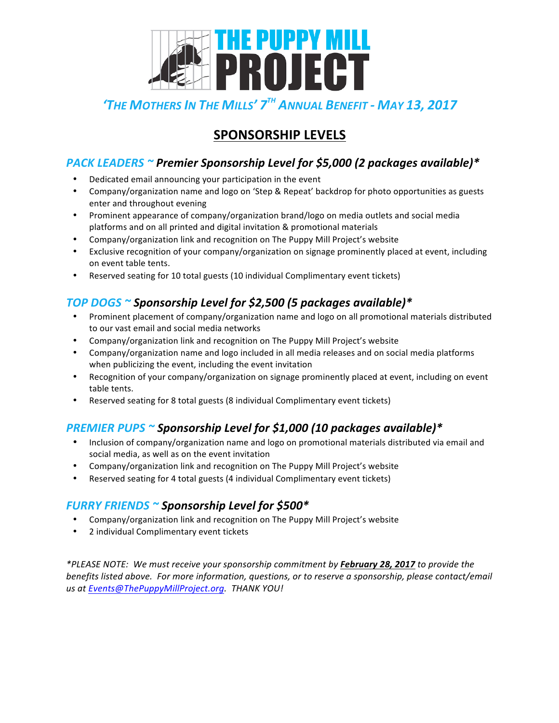

# *'THE MOTHERS IN THE MILLS' 7TH ANNUAL BENEFIT - MAY 13, 2017*

## **SPONSORSHIP LEVELS**

### *PACK LEADERS ~ Premier Sponsorship Level for \$5,000 (2 packages available)\**

- Dedicated email announcing your participation in the event
- Company/organization name and logo on 'Step & Repeat' backdrop for photo opportunities as guests enter and throughout evening
- Prominent appearance of company/organization brand/logo on media outlets and social media platforms and on all printed and digital invitation & promotional materials
- Company/organization link and recognition on The Puppy Mill Project's website
- Exclusive recognition of your company/organization on signage prominently placed at event, including on event table tents.
- Reserved seating for 10 total guests (10 individual Complimentary event tickets)

### *TOP DOGS ~ Sponsorship Level for \$2,500 (5 packages available)\**

- Prominent placement of company/organization name and logo on all promotional materials distributed to our vast email and social media networks
- Company/organization link and recognition on The Puppy Mill Project's website
- Company/organization name and logo included in all media releases and on social media platforms when publicizing the event, including the event invitation
- Recognition of your company/organization on signage prominently placed at event, including on event table tents.
- Reserved seating for 8 total guests (8 individual Complimentary event tickets)

### **PREMIER PUPS** ~ Sponsorship Level for \$1,000 (10 packages available)\*

- Inclusion of company/organization name and logo on promotional materials distributed via email and social media, as well as on the event invitation
- Company/organization link and recognition on The Puppy Mill Project's website
- Reserved seating for 4 total guests (4 individual Complimentary event tickets)

#### *FURRY FRIENDS ~ Sponsorship Level for \$500\**

- Company/organization link and recognition on The Puppy Mill Project's website
- 2 individual Complimentary event tickets

*\*PLEASE NOTE: We must receive your sponsorship commitment by February 28, 2017 to provide the benefits listed above. For more information, questions, or to reserve a sponsorship, please contact/email us at Events@ThePuppyMillProject.org. THANK YOU!*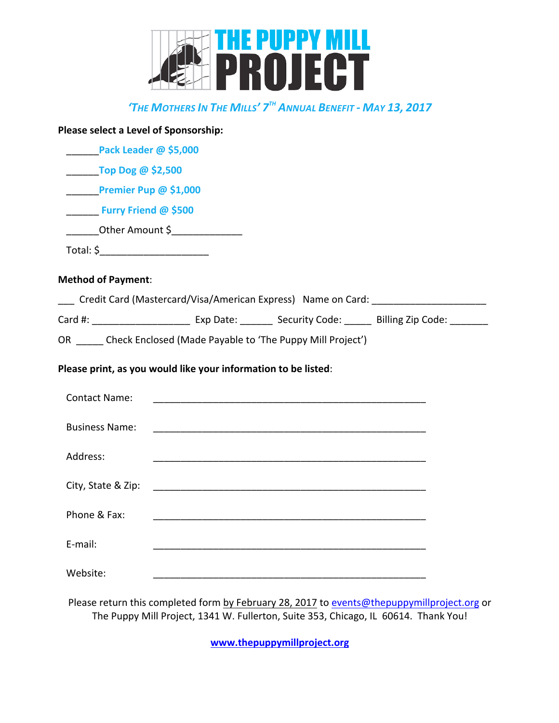

# *'THE MOTHERS IN THE MILLS' 7TH ANNUAL BENEFIT - MAY 13, 2017*

| Please select a Level of Sponsorship:                                                  |  |                                                                                             |
|----------------------------------------------------------------------------------------|--|---------------------------------------------------------------------------------------------|
| Pack Leader @ \$5,000                                                                  |  |                                                                                             |
| $\frac{1}{2}$ Top Dog @ \$2,500                                                        |  |                                                                                             |
| <b>Premier Pup @ \$1,000</b>                                                           |  |                                                                                             |
| <b>Example 24 Furry Friend @ \$500</b>                                                 |  |                                                                                             |
| _________Other Amount \$_______________                                                |  |                                                                                             |
| Total: \$__________________________                                                    |  |                                                                                             |
| <b>Method of Payment:</b>                                                              |  |                                                                                             |
|                                                                                        |  | ___ Credit Card (Mastercard/Visa/American Express) Name on Card: _____________________      |
|                                                                                        |  |                                                                                             |
| OR _____ Check Enclosed (Made Payable to 'The Puppy Mill Project')                     |  |                                                                                             |
| Please print, as you would like your information to be listed:<br><b>Contact Name:</b> |  |                                                                                             |
| <b>Business Name:</b>                                                                  |  |                                                                                             |
| Address:                                                                               |  |                                                                                             |
|                                                                                        |  |                                                                                             |
| Phone & Fax:                                                                           |  |                                                                                             |
| E-mail:                                                                                |  |                                                                                             |
| Website:                                                                               |  |                                                                                             |
|                                                                                        |  | Please return this completed form by February 28, 2017 to events@thepuppymillproject.org or |

The Puppy Mill Project, 1341 W. Fullerton, Suite 353, Chicago, IL 60614. Thank You!

**www.thepuppymillproject.org**